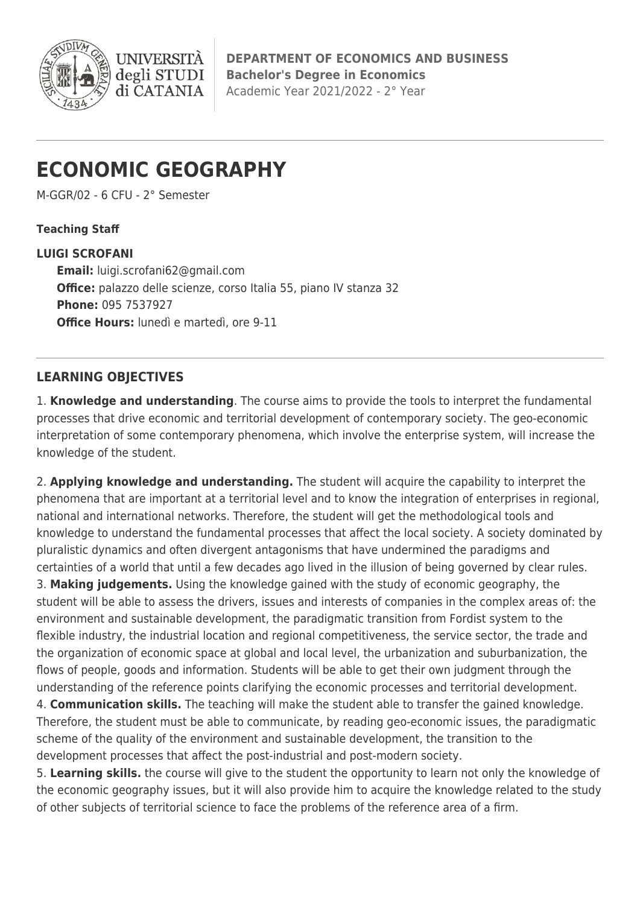

**DEPARTMENT OF ECONOMICS AND BUSINESS Bachelor's Degree in Economics** Academic Year 2021/2022 - 2° Year

# **ECONOMIC GEOGRAPHY**

**UNIVERS** 

degli STUDI di CATANIA

M-GGR/02 - 6 CFU - 2° Semester

### **Teaching Staff**

### **LUIGI SCROFANI**

**Email:** [luigi.scrofani62@gmail.com](mailto:luigi.scrofani62@gmail.com) **Office:** palazzo delle scienze, corso Italia 55, piano IV stanza 32 **Phone:** 095 7537927 **Office Hours:** lunedì e martedì, ore 9-11

## **LEARNING OBJECTIVES**

1. **Knowledge and understanding**. The course aims to provide the tools to interpret the fundamental processes that drive economic and territorial development of contemporary society. The geo-economic interpretation of some contemporary phenomena, which involve the enterprise system, will increase the knowledge of the student.

2. **Applying knowledge and understanding.** The student will acquire the capability to interpret the phenomena that are important at a territorial level and to know the integration of enterprises in regional, national and international networks. Therefore, the student will get the methodological tools and knowledge to understand the fundamental processes that affect the local society. A society dominated by pluralistic dynamics and often divergent antagonisms that have undermined the paradigms and certainties of a world that until a few decades ago lived in the illusion of being governed by clear rules. 3. **Making judgements.** Using the knowledge gained with the study of economic geography, the student will be able to assess the drivers, issues and interests of companies in the complex areas of: the environment and sustainable development, the paradigmatic transition from Fordist system to the flexible industry, the industrial location and regional competitiveness, the service sector, the trade and the organization of economic space at global and local level, the urbanization and suburbanization, the flows of people, goods and information. Students will be able to get their own judgment through the understanding of the reference points clarifying the economic processes and territorial development.

4. **Communication skills.** The teaching will make the student able to transfer the gained knowledge. Therefore, the student must be able to communicate, by reading geo-economic issues, the paradigmatic scheme of the quality of the environment and sustainable development, the transition to the development processes that affect the post-industrial and post-modern society.

5. **Learning skills.** the course will give to the student the opportunity to learn not only the knowledge of the economic geography issues, but it will also provide him to acquire the knowledge related to the study of other subjects of territorial science to face the problems of the reference area of a firm.